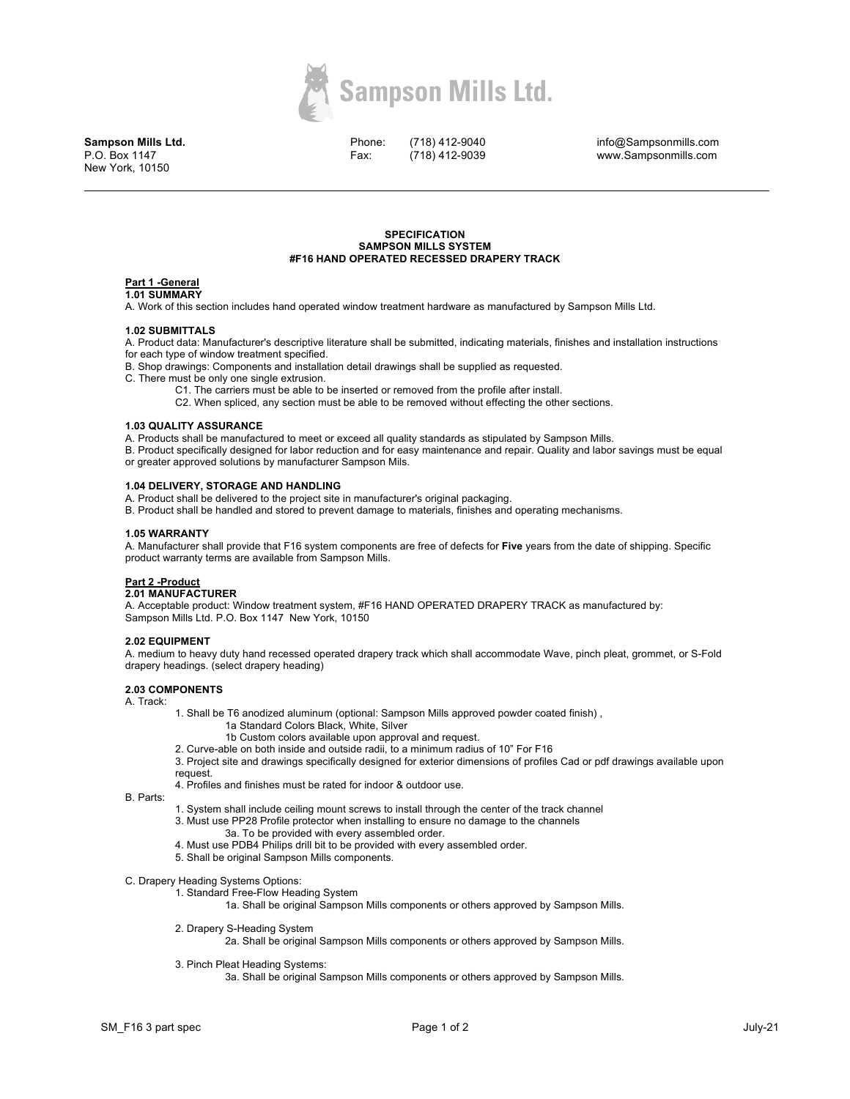

**Sampson Mills Ltd.** P.O. Box 1147 New York, 10150

Phone: Fax:

(718) 412-9040 (718) 412-9039

info@Sampsonmills.com www.Sampsonmills.com

### **SPECIFICATION SAMPSON MILLS SYSTEM #F16 HAND OPERATED RECESSED DRAPERY TRACK**

#### **Part 1 -General 1.01 SUMMARY**

A. Work of this section includes hand operated window treatment hardware as manufactured by Sampson Mills Ltd.

## **1.02 SUBMITTALS**

A. Product data: Manufacturer's descriptive literature shall be submitted, indicating materials, finishes and installation instructions for each type of window treatment specified.

B. Shop drawings: Components and installation detail drawings shall be supplied as requested.

- C. There must be only one single extrusion.
	- C1. The carriers must be able to be inserted or removed from the profile after install.
	- C2. When spliced, any section must be able to be removed without effecting the other sections.

## **1.03 QUALITY ASSURANCE**

A. Products shall be manufactured to meet or exceed all quality standards as stipulated by Sampson Mills.

B. Product specifically designed for labor reduction and for easy maintenance and repair. Quality and labor savings must be equal or greater approved solutions by manufacturer Sampson Mils.

### **1.04 DELIVERY, STORAGE AND HANDLING**

A. Product shall be delivered to the project site in manufacturer's original packaging.

B. Product shall be handled and stored to prevent damage to materials, finishes and operating mechanisms.

### **1.05 WARRANTY**

A. Manufacturer shall provide that F16 system components are free of defects for **Five** years from the date of shipping. Specific product warranty terms are available from Sampson Mills.

# **Part 2 -Product**

# **2.01 MANUFACTURER**

A. Acceptable product: Window treatment system, #F16 HAND OPERATED DRAPERY TRACK as manufactured by: Sampson Mills Ltd. P.O. Box 1147 New York, 10150

### **2.02 EQUIPMENT**

A. medium to heavy duty hand recessed operated drapery track which shall accommodate Wave, pinch pleat, grommet, or S-Fold drapery headings. (select drapery heading)

## **2.03 COMPONENTS**

A. Track:

- 1. Shall be T6 anodized aluminum (optional: Sampson Mills approved powder coated finish) ,
	- 1a Standard Colors Black, White, Silver
		- 1b Custom colors available upon approval and request.
- 2. Curve-able on both inside and outside radii, to a minimum radius of 10" For F16

3. Project site and drawings specifically designed for exterior dimensions of profiles Cad or pdf drawings available upon request.

4. Profiles and finishes must be rated for indoor & outdoor use.

B. Parts:

- 1. System shall include ceiling mount screws to install through the center of the track channel 3. Must use PP28 Profile protector when installing to ensure no damage to the channels
	- 3a. To be provided with every assembled order.
- 4. Must use PDB4 Philips drill bit to be provided with every assembled order.
- 5. Shall be original Sampson Mills components.

### C. Drapery Heading Systems Options:

1. Standard Free-Flow Heading System

1a. Shall be original Sampson Mills components or others approved by Sampson Mills.

2. Drapery S-Heading System

2a. Shall be original Sampson Mills components or others approved by Sampson Mills.

3. Pinch Pleat Heading Systems:

3a. Shall be original Sampson Mills components or others approved by Sampson Mills.